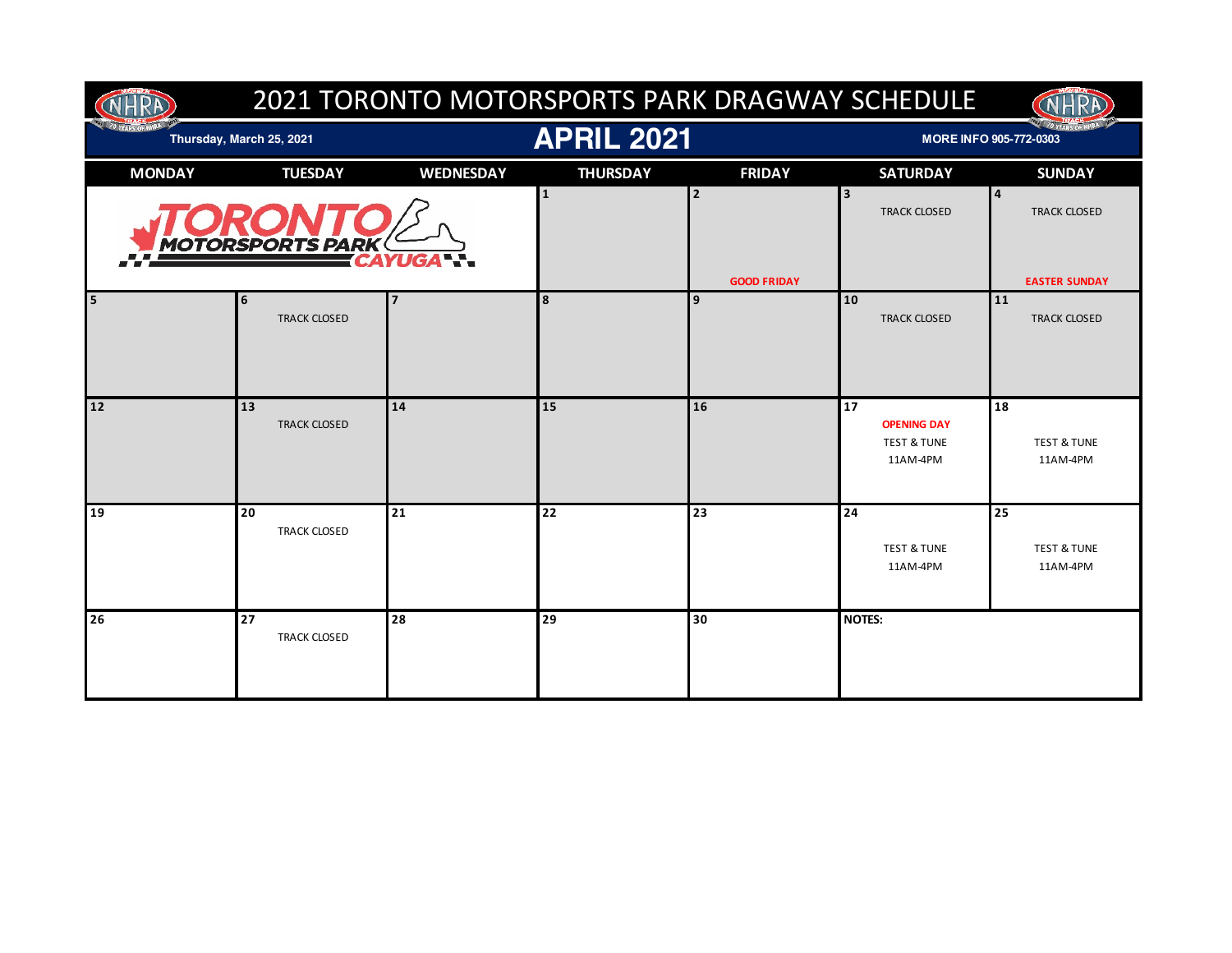| 2021 TORONTO MOTORSPORTS PARK DRAGWAY SCHEDULE |                                                                   |                 |                |                                                |                                                                   |  |
|------------------------------------------------|-------------------------------------------------------------------|-----------------|----------------|------------------------------------------------|-------------------------------------------------------------------|--|
| Thursday, March 25, 2021                       |                                                                   |                 |                |                                                | MORE INFO 905-772-0303                                            |  |
| <b>TUESDAY</b>                                 | <b>WEDNESDAY</b>                                                  | <b>THURSDAY</b> | <b>FRIDAY</b>  | <b>SATURDAY</b>                                | <b>SUNDAY</b>                                                     |  |
| MOTORSPORTS PARK                               | GZ.                                                               | $\mathbf{1}$    | $\overline{2}$ | $\overline{\mathbf{3}}$<br><b>TRACK CLOSED</b> | $\overline{a}$<br><b>TRACK CLOSED</b><br><b>EASTER SUNDAY</b>     |  |
|                                                |                                                                   | 8               | $\overline{9}$ | 10                                             | 11                                                                |  |
|                                                |                                                                   |                 |                |                                                | <b>TRACK CLOSED</b>                                               |  |
|                                                |                                                                   |                 | 16             | 17                                             | 18                                                                |  |
|                                                |                                                                   |                 |                | <b>TEST &amp; TUNE</b>                         | <b>TEST &amp; TUNE</b>                                            |  |
|                                                |                                                                   |                 |                |                                                | 11AM-4PM                                                          |  |
|                                                |                                                                   | 22              | 23             | 24                                             | 25                                                                |  |
|                                                |                                                                   |                 |                | <b>TEST &amp; TUNE</b>                         | <b>TEST &amp; TUNE</b>                                            |  |
|                                                |                                                                   |                 |                |                                                | 11AM-4PM                                                          |  |
| <b>TRACK CLOSED</b>                            |                                                                   |                 | 30             | <b>NOTES:</b>                                  |                                                                   |  |
|                                                |                                                                   |                 |                |                                                |                                                                   |  |
|                                                | <b>TRACK CLOSED</b><br><b>TRACK CLOSED</b><br><b>TRACK CLOSED</b> | 14<br>21<br>28  | 15<br>29       | <b>APRIL 2021</b><br><b>GOOD FRIDAY</b>        | <b>TRACK CLOSED</b><br><b>OPENING DAY</b><br>11AM-4PM<br>11AM-4PM |  |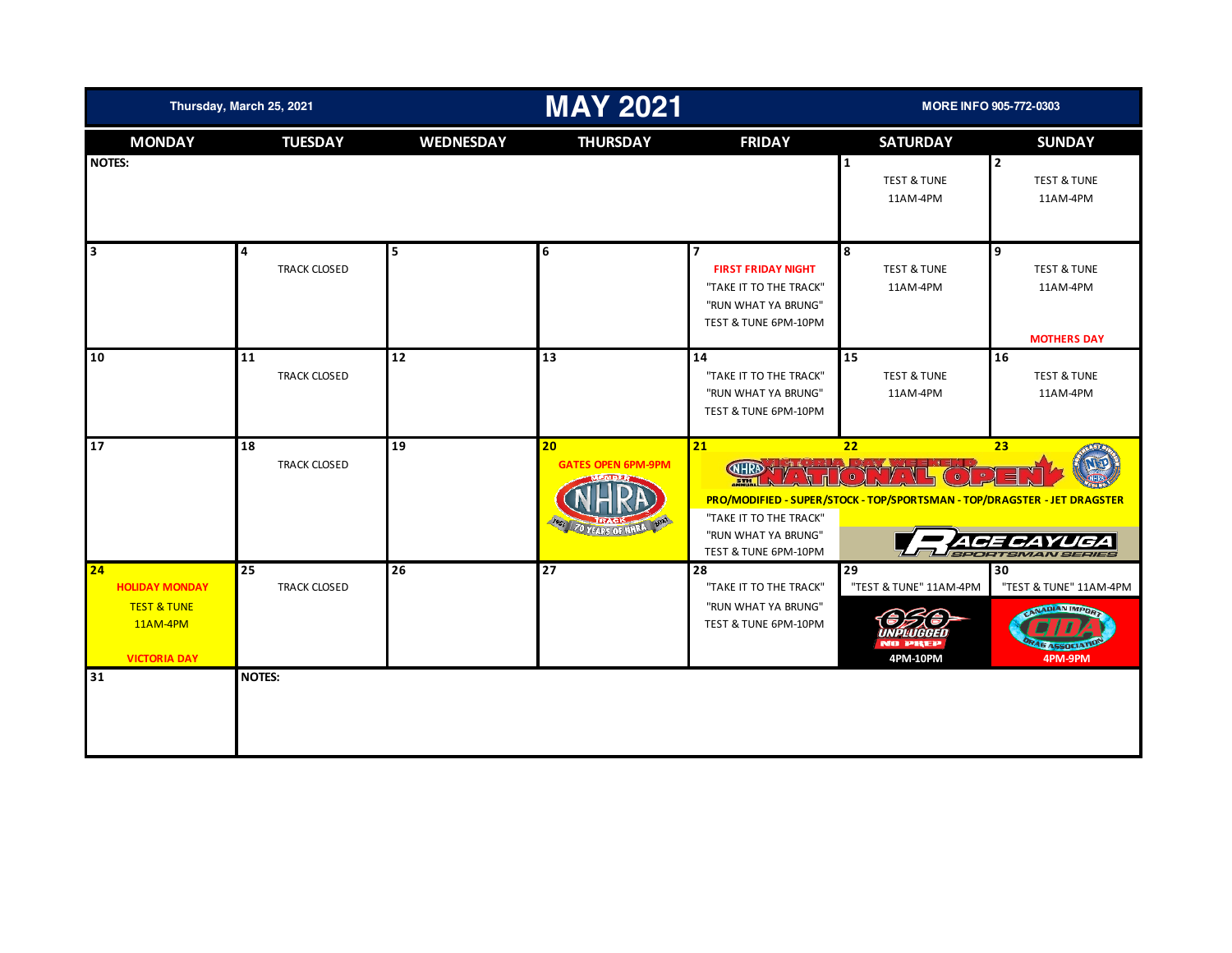| Thursday, March 25, 2021                                                                 |                          |                  | <b>MAY 2021</b>                 |                                                                                                          | MORE INFO 905-772-0303                                                                                                                    |                                                               |  |
|------------------------------------------------------------------------------------------|--------------------------|------------------|---------------------------------|----------------------------------------------------------------------------------------------------------|-------------------------------------------------------------------------------------------------------------------------------------------|---------------------------------------------------------------|--|
| <b>MONDAY</b>                                                                            | <b>TUESDAY</b>           | <b>WEDNESDAY</b> | <b>THURSDAY</b>                 | <b>FRIDAY</b>                                                                                            | <b>SATURDAY</b>                                                                                                                           | <b>SUNDAY</b>                                                 |  |
| <b>NOTES:</b>                                                                            |                          |                  |                                 |                                                                                                          | 1<br><b>TEST &amp; TUNE</b><br>11AM-4PM                                                                                                   | $\overline{2}$<br><b>TEST &amp; TUNE</b><br>11AM-4PM          |  |
| Ι3                                                                                       | 4<br><b>TRACK CLOSED</b> | 5                | 6                               | 7<br><b>FIRST FRIDAY NIGHT</b><br>"TAKE IT TO THE TRACK"<br>"RUN WHAT YA BRUNG"<br>TEST & TUNE 6PM-10PM  | 8<br><b>TEST &amp; TUNE</b><br>11AM-4PM                                                                                                   | 9<br><b>TEST &amp; TUNE</b><br>11AM-4PM<br><b>MOTHERS DAY</b> |  |
| 10                                                                                       | 11<br>TRACK CLOSED       | 12               | 13                              | 14<br>"TAKE IT TO THE TRACK"<br>"RUN WHAT YA BRUNG"<br>TEST & TUNE 6PM-10PM                              | 15<br><b>TEST &amp; TUNE</b><br>11AM-4PM                                                                                                  | 16<br><b>TEST &amp; TUNE</b><br>11AM-4PM                      |  |
| 17                                                                                       | 18<br>TRACK CLOSED       | 19               | 20<br><b>GATES OPEN 6PM-9PM</b> | 21<br><b>AHF</b><br><b>Tanu</b><br>"TAKE IT TO THE TRACK"<br>"RUN WHAT YA BRUNG"<br>TEST & TUNE 6PM-10PM | 22<br>$\bullet$<br>$\bullet$<br>$V \cdot V$<br>$\blacksquare$<br>PRO/MODIFIED - SUPER/STOCK - TOP/SPORTSMAN - TOP/DRAGSTER - JET DRAGSTER | 23<br><i>CE CAYUGA</i><br>SPORTSMAN SERIES                    |  |
| 24<br><b>HOLIDAY MONDAY</b><br><b>TEST &amp; TUNE</b><br>11AM-4PM<br><b>VICTORIA DAY</b> | 25<br>TRACK CLOSED       | $\overline{26}$  | 27                              | $\overline{28}$<br>"TAKE IT TO THE TRACK"<br>"RUN WHAT YA BRUNG"<br>TEST & TUNE 6PM-10PM                 | $\overline{29}$<br>"TEST & TUNE" 11AM-4PM<br>NO PREP<br>4PM-10PM                                                                          | 30<br>"TEST & TUNE" 11AM-4PM<br>VADIAN IMPORT<br>4PM-9PM      |  |
| 31                                                                                       | <b>NOTES:</b>            |                  |                                 |                                                                                                          |                                                                                                                                           |                                                               |  |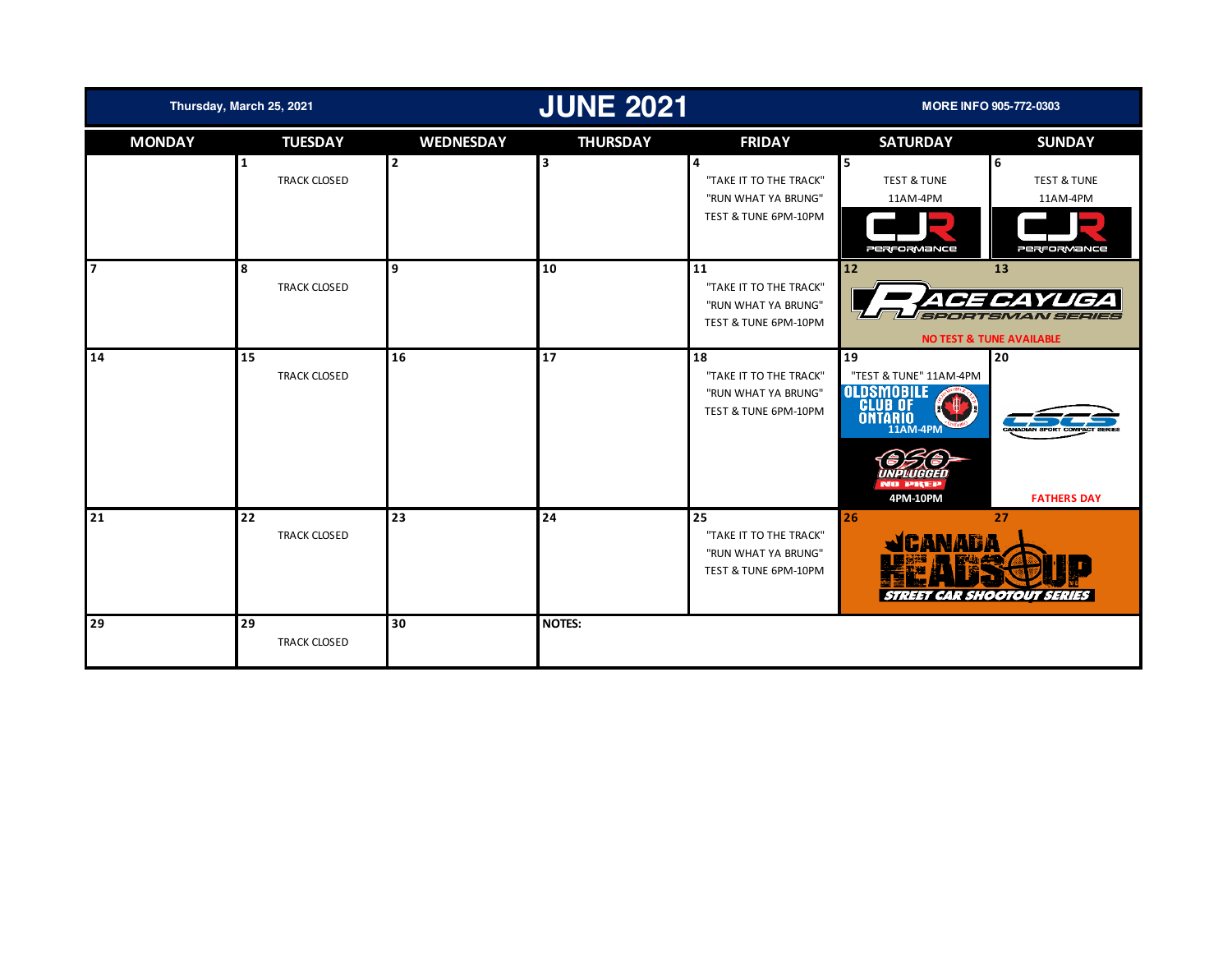| Thursday, March 25, 2021 |                                     |                  | <b>JUNE 2021</b> |                                                                             | MORE INFO 905-772-0303                                                                                                               |                                                                              |  |
|--------------------------|-------------------------------------|------------------|------------------|-----------------------------------------------------------------------------|--------------------------------------------------------------------------------------------------------------------------------------|------------------------------------------------------------------------------|--|
| <b>MONDAY</b>            | <b>TUESDAY</b>                      | <b>WEDNESDAY</b> | <b>THURSDAY</b>  | <b>FRIDAY</b>                                                               | <b>SATURDAY</b>                                                                                                                      | <b>SUNDAY</b>                                                                |  |
|                          | $\mathbf{1}$<br><b>TRACK CLOSED</b> | $\overline{2}$   | 3                | 4<br>"TAKE IT TO THE TRACK"<br>"RUN WHAT YA BRUNG"<br>TEST & TUNE 6PM-10PM  | 5<br><b>TEST &amp; TUNE</b><br>11AM-4PM<br>PERFORMANCE                                                                               | 6<br><b>TEST &amp; TUNE</b><br>11AM-4PM<br>PERFORMANCE                       |  |
| $\overline{\mathbf{z}}$  | 8<br><b>TRACK CLOSED</b>            | 9                | 10               | 11<br>"TAKE IT TO THE TRACK"<br>"RUN WHAT YA BRUNG"<br>TEST & TUNE 6PM-10PM | 12                                                                                                                                   | 13<br>CAVI<br><i>SPORTSMAN SERIES</i><br><b>NO TEST &amp; TUNE AVAILABLE</b> |  |
| 14                       | 15<br><b>TRACK CLOSED</b>           | 16               | 17               | 18<br>"TAKE IT TO THE TRACK"<br>"RUN WHAT YA BRUNG"<br>TEST & TUNE 6PM-10PM | 19<br>"TEST & TUNE" 11AM-4PM<br><b>OLDSMOBILE</b><br><b>CLUB OF</b><br><b>TARIO</b><br>mar<br><b>11AM-4PM</b><br>NO PREP<br>4PM-10PM | 20<br><b>CANADIAN SPORT COMPACT</b><br><b>FATHERS DAY</b>                    |  |
| 21                       | 22<br><b>TRACK CLOSED</b>           | 23               | 24               | 25<br>"TAKE IT TO THE TRACK"<br>"RUN WHAT YA BRUNG"<br>TEST & TUNE 6PM-10PM | 26<br><b>CANADA</b><br><b>STREET CAR SHOOTOUT SERIES</b>                                                                             | 27                                                                           |  |
| 29                       | 29<br>TRACK CLOSED                  | 30               | <b>NOTES:</b>    |                                                                             |                                                                                                                                      |                                                                              |  |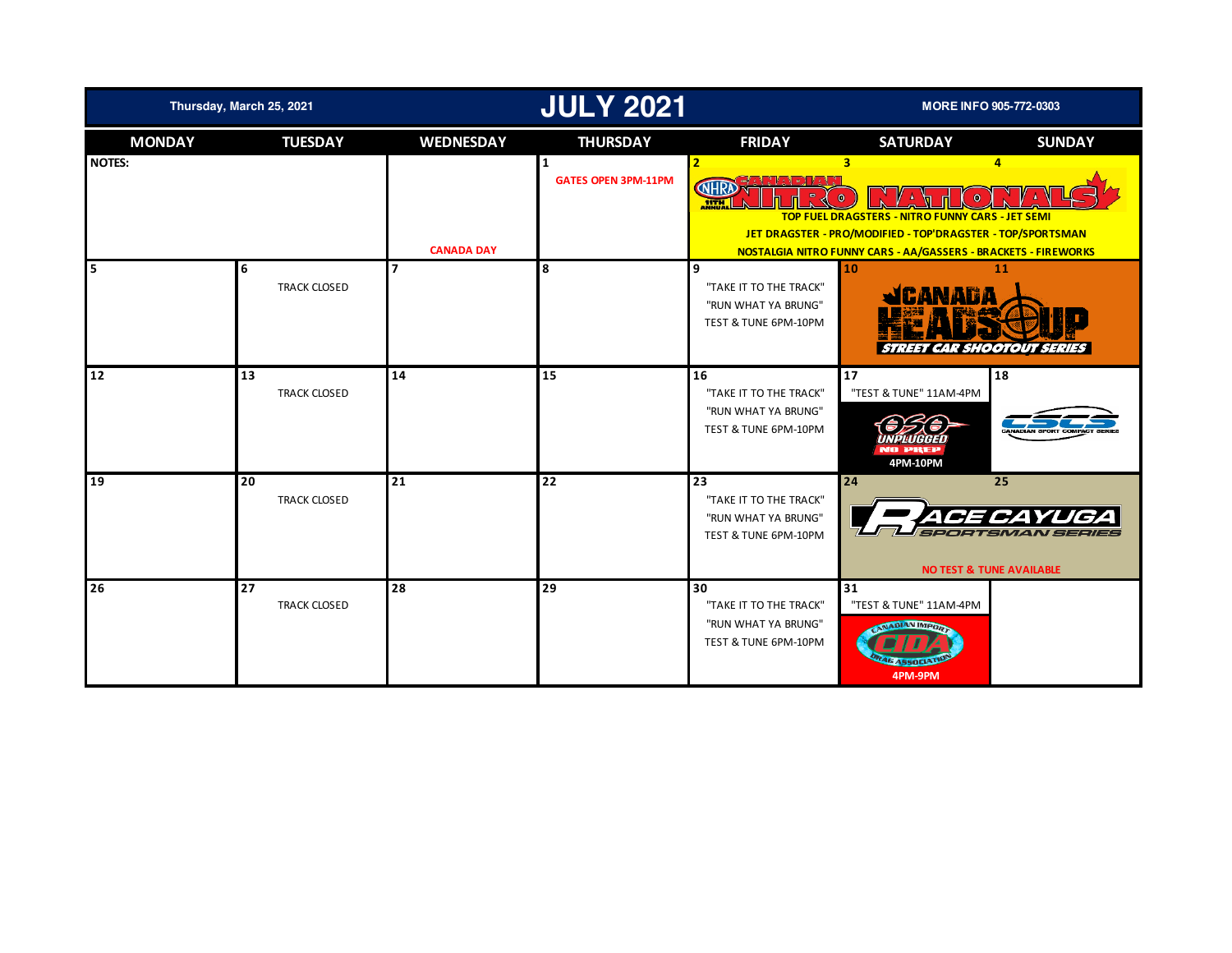|               | Thursday, March 25, 2021  |                          | <b>JULY 2021</b>                | MORE INFO 905-772-0303                                                      |                                                                                                                                                                                                                                            |                                                                                         |
|---------------|---------------------------|--------------------------|---------------------------------|-----------------------------------------------------------------------------|--------------------------------------------------------------------------------------------------------------------------------------------------------------------------------------------------------------------------------------------|-----------------------------------------------------------------------------------------|
| <b>MONDAY</b> | <b>TUESDAY</b>            | <b>WEDNESDAY</b>         | <b>THURSDAY</b>                 | <b>FRIDAY</b>                                                               | <b>SATURDAY</b>                                                                                                                                                                                                                            | <b>SUNDAY</b>                                                                           |
| <b>NOTES:</b> |                           | <b>CANADA DAY</b>        | 1<br><b>GATES OPEN 3PM-11PM</b> | $\overline{2}$<br><b>CHRA</b><br><b>STTH</b>                                | $\overline{\mathbf{3}}$<br>$\bf{0}$<br>$\Omega$<br><b>TOP FUEL DRAGSTERS - NITRO FUNNY CARS - JET SEMI</b><br>JET DRAGSTER - PRO/MODIFIED - TOP'DRAGSTER - TOP/SPORTSMAN<br>NOSTALGIA NITRO FUNNY CARS - AA/GASSERS - BRACKETS - FIREWORKS | $\overline{a}$                                                                          |
| 5             | 6<br><b>TRACK CLOSED</b>  | $\overline{\phantom{a}}$ | 8                               | q<br>"TAKE IT TO THE TRACK"<br>"RUN WHAT YA BRUNG"<br>TEST & TUNE 6PM-10PM  | 10<br>ICANADA<br><b>STREET CAR SHOOTOUT SERIES</b>                                                                                                                                                                                         | 11                                                                                      |
| 12            | 13<br><b>TRACK CLOSED</b> | 14                       | 15                              | 16<br>"TAKE IT TO THE TRACK"<br>"RUN WHAT YA BRUNG"<br>TEST & TUNE 6PM-10PM | 17<br>"TEST & TUNE" 11AM-4PM<br>UNPLUGGED<br><b>NO PREP</b><br>4PM-10PM                                                                                                                                                                    | 18                                                                                      |
| 19            | 20<br><b>TRACK CLOSED</b> | 21                       | $\overline{22}$                 | 23<br>"TAKE IT TO THE TRACK"<br>"RUN WHAT YA BRUNG"<br>TEST & TUNE 6PM-10PM | 24                                                                                                                                                                                                                                         | 25<br><i>ACE CAYL</i><br><i>SPORTSMAN SERIES</i><br><b>NO TEST &amp; TUNE AVAILABLE</b> |
| 26            | 27<br><b>TRACK CLOSED</b> | 28                       | 29                              | 30<br>"TAKE IT TO THE TRACK"<br>"RUN WHAT YA BRUNG"<br>TEST & TUNE 6PM-10PM | 31<br>"TEST & TUNE" 11AM-4PM<br>ADIAN IMPORT<br>ASSOCIAT<br>4PM-9PM                                                                                                                                                                        |                                                                                         |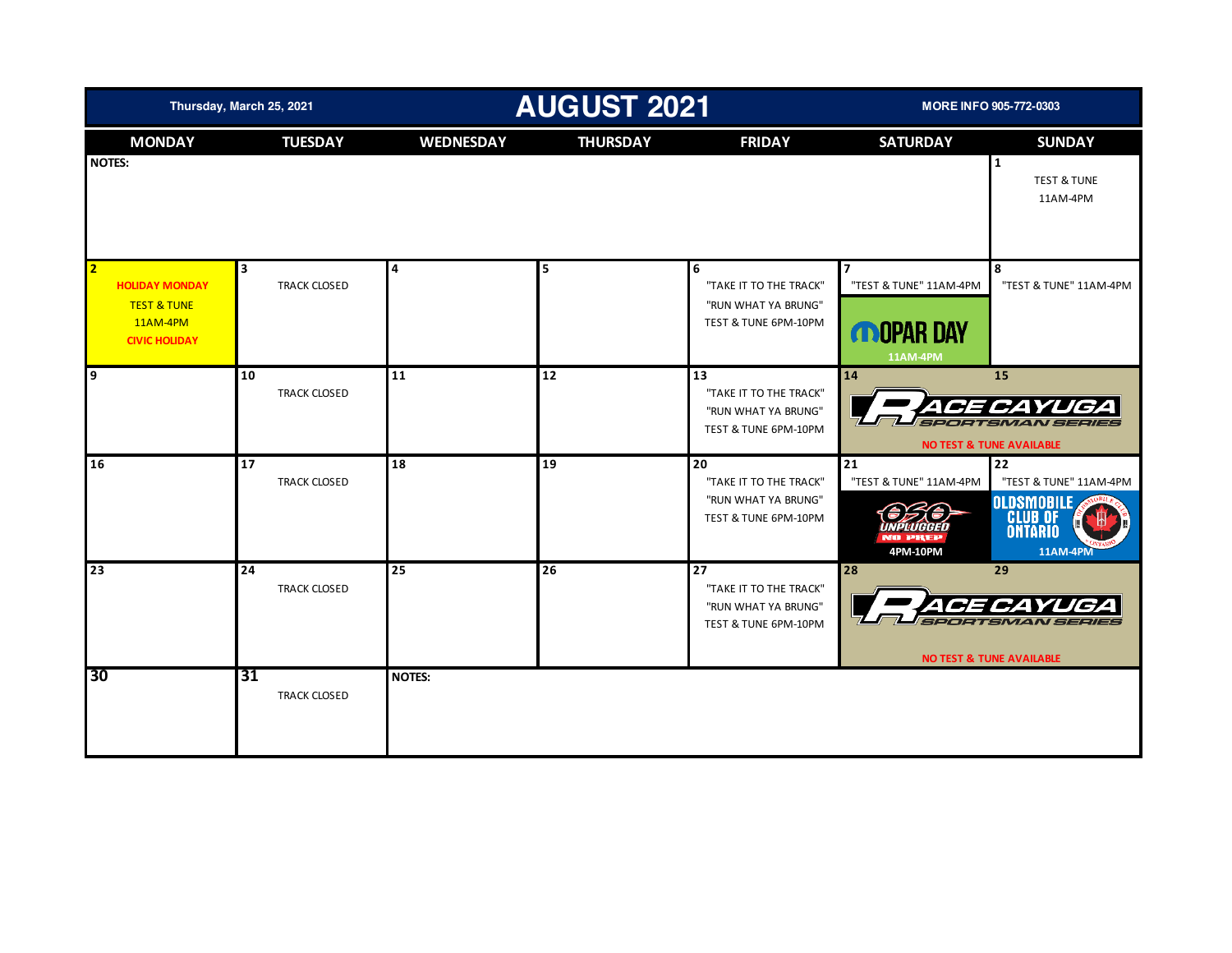| Thursday, March 25, 2021                                                                              |                           |                  | <b>AUGUST 2021</b> |                                                                                          |                                                                 | MORE INFO 905-772-0303                                                                            |  |
|-------------------------------------------------------------------------------------------------------|---------------------------|------------------|--------------------|------------------------------------------------------------------------------------------|-----------------------------------------------------------------|---------------------------------------------------------------------------------------------------|--|
| <b>MONDAY</b>                                                                                         | <b>TUESDAY</b>            | <b>WEDNESDAY</b> | <b>THURSDAY</b>    | <b>FRIDAY</b>                                                                            | <b>SATURDAY</b>                                                 | <b>SUNDAY</b>                                                                                     |  |
| <b>NOTES:</b>                                                                                         |                           |                  |                    |                                                                                          |                                                                 | 1<br><b>TEST &amp; TUNE</b><br>11AM-4PM                                                           |  |
| $\overline{2}$<br><b>HOLIDAY MONDAY</b><br><b>TEST &amp; TUNE</b><br>11AM-4PM<br><b>CIVIC HOLIDAY</b> | 3<br><b>TRACK CLOSED</b>  | 4                | 5                  | 6<br>"TAKE IT TO THE TRACK"<br>"RUN WHAT YA BRUNG"<br>TEST & TUNE 6PM-10PM               | 7<br>"TEST & TUNE" 11AM-4PM<br><b>MOPAR DAY</b><br>11AM-4PM     | 8<br>"TEST & TUNE" 11AM-4PM                                                                       |  |
| 9                                                                                                     | 10<br>TRACK CLOSED        | 11               | 12                 | 13<br>"TAKE IT TO THE TRACK"<br>"RUN WHAT YA BRUNG"<br>TEST & TUNE 6PM-10PM              | 14                                                              | 15<br>7274<br><b>SPORTSMAN SERIES</b><br><b>NO TEST &amp; TUNE AVAILABLE</b>                      |  |
| 16                                                                                                    | 17<br><b>TRACK CLOSED</b> | 18               | 19                 | 20<br>"TAKE IT TO THE TRACK"<br>"RUN WHAT YA BRUNG"<br>TEST & TUNE 6PM-10PM              | 21<br>"TEST & TUNE" 11AM-4PM<br>NPLUGGED<br>NO PREP<br>4PM-10PM | 22<br>"TEST & TUNE" 11AM-4PM<br><b>OLDSMOBILE</b><br><b>CLUB OF</b><br><b>ONTARIO</b><br>11AM-4PM |  |
| 23                                                                                                    | 24<br><b>TRACK CLOSED</b> | 25               | 26                 | $\overline{27}$<br>"TAKE IT TO THE TRACK"<br>"RUN WHAT YA BRUNG"<br>TEST & TUNE 6PM-10PM | 28                                                              | $\overline{29}$<br><b>SPORTSMAN SERIES</b><br><b>NO TEST &amp; TUNE AVAILABLE</b>                 |  |
| 30                                                                                                    | 31<br><b>TRACK CLOSED</b> | <b>NOTES:</b>    |                    |                                                                                          |                                                                 |                                                                                                   |  |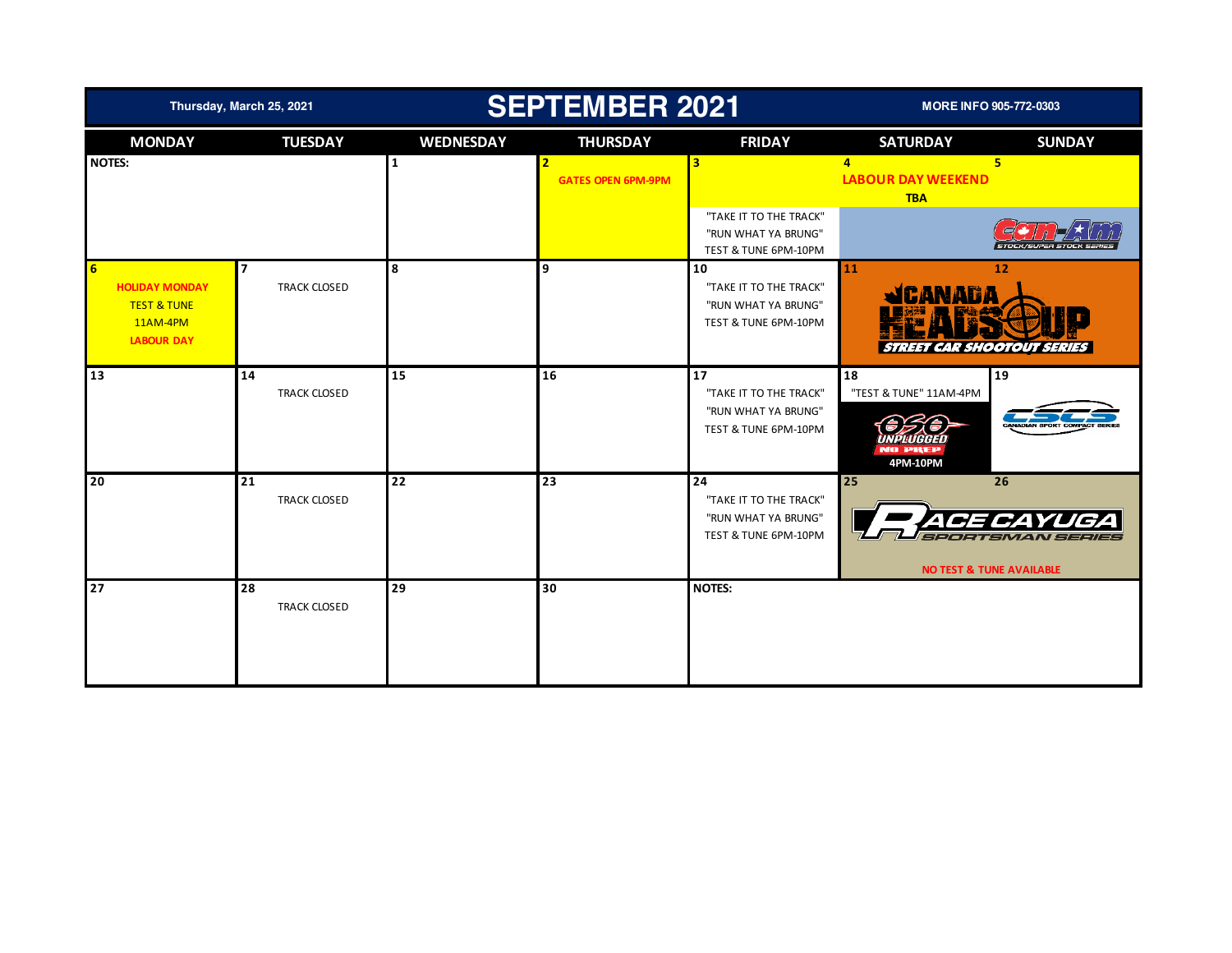| Thursday, March 25, 2021                                                                           |                                        |                  | <b>SEPTEMBER 2021</b><br>MORE INFO 905-772-0303 |                                                                                                  |                                                           |                                                               |
|----------------------------------------------------------------------------------------------------|----------------------------------------|------------------|-------------------------------------------------|--------------------------------------------------------------------------------------------------|-----------------------------------------------------------|---------------------------------------------------------------|
| <b>MONDAY</b>                                                                                      | <b>TUESDAY</b>                         | <b>WEDNESDAY</b> | <b>THURSDAY</b>                                 | <b>FRIDAY</b>                                                                                    | <b>SATURDAY</b>                                           | <b>SUNDAY</b>                                                 |
| <b>NOTES:</b>                                                                                      |                                        | 1                | <b>GATES OPEN 6PM-9PM</b>                       | $\overline{\mathbf{3}}$<br>"TAKE IT TO THE TRACK"<br>"RUN WHAT YA BRUNG"<br>TEST & TUNE 6PM-10PM | $\overline{4}$<br><b>LABOUR DAY WEEKEND</b><br><b>TBA</b> | 5                                                             |
| $\overline{6}$<br><b>HOLIDAY MONDAY</b><br><b>TEST &amp; TUNE</b><br>11AM-4PM<br><b>LABOUR DAY</b> | 17<br><b>TRACK CLOSED</b>              | 8                | 9                                               | 10<br>"TAKE IT TO THE TRACK"<br>"RUN WHAT YA BRUNG"<br>TEST & TUNE 6PM-10PM                      | 11<br>JCANABA<br><b>STREET CAR SHOOTOUT SERIES</b>        | 12                                                            |
| 13                                                                                                 | 14<br><b>TRACK CLOSED</b>              | 15               | 16                                              | 17<br>"TAKE IT TO THE TRACK"<br>"RUN WHAT YA BRUNG"<br>TEST & TUNE 6PM-10PM                      | 18<br>"TEST & TUNE" 11AM-4PM<br>nin prefip<br>4PM-10PM    | 19<br><b>CANADIAN SPORT COMPACT</b>                           |
| 20                                                                                                 | $\overline{21}$<br><b>TRACK CLOSED</b> | 22               | $\overline{23}$                                 | 24<br>"TAKE IT TO THE TRACK"<br>"RUN WHAT YA BRUNG"<br>TEST & TUNE 6PM-10PM                      | 25<br>SPORTSMAI                                           | 26<br>4 <i>020</i> 412<br><b>NO TEST &amp; TUNE AVAILABLE</b> |
| 27                                                                                                 | 28<br><b>TRACK CLOSED</b>              | 29               | 30                                              | <b>NOTES:</b>                                                                                    |                                                           |                                                               |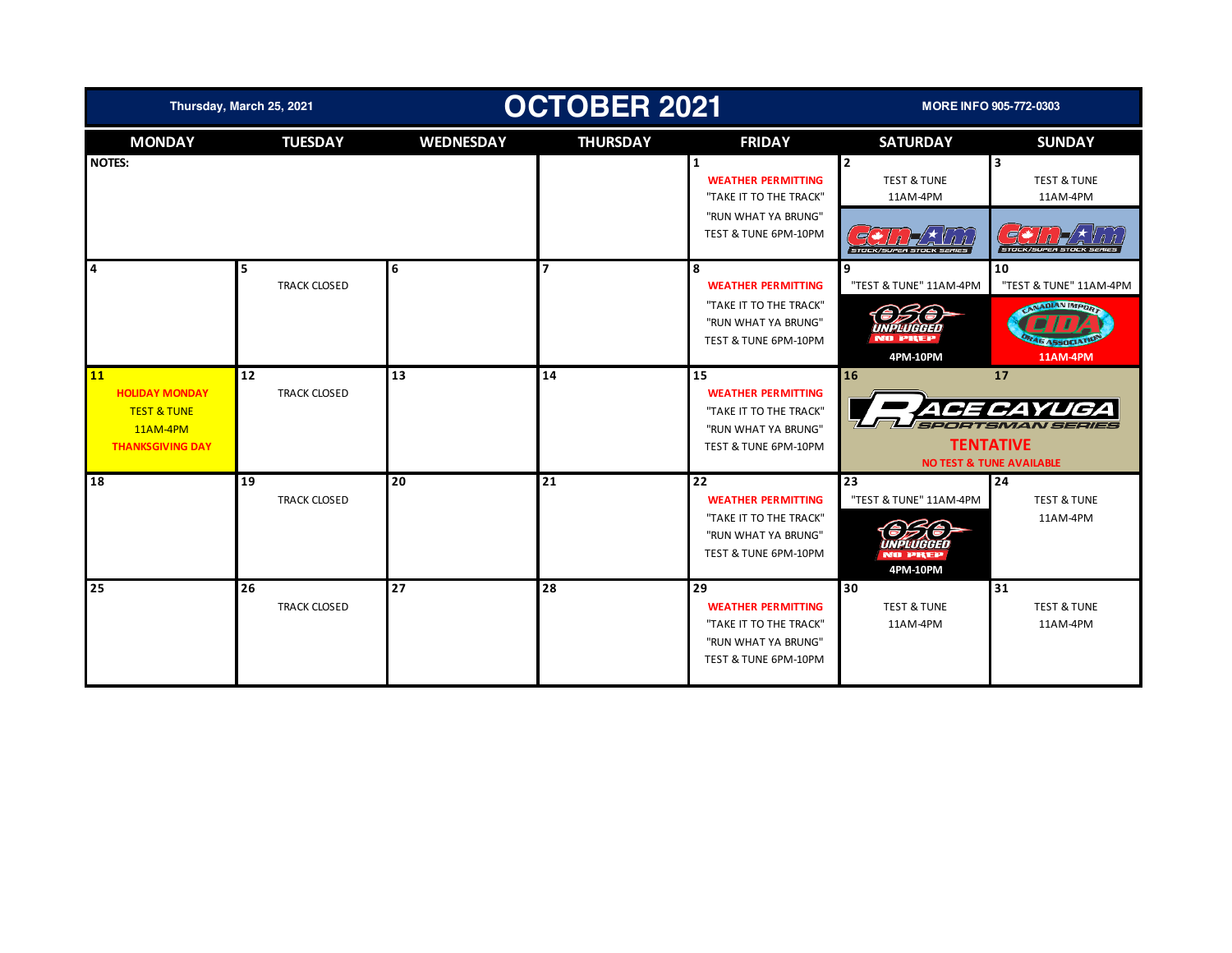| Thursday, March 25, 2021                                                                            |                                        |                  | <b>OCTOBER 2021</b> |                                                                                                                       | MORE INFO 905-772-0303                                              |                                                                                             |
|-----------------------------------------------------------------------------------------------------|----------------------------------------|------------------|---------------------|-----------------------------------------------------------------------------------------------------------------------|---------------------------------------------------------------------|---------------------------------------------------------------------------------------------|
| <b>MONDAY</b>                                                                                       | <b>TUESDAY</b>                         | <b>WEDNESDAY</b> | <b>THURSDAY</b>     | <b>FRIDAY</b>                                                                                                         | <b>SATURDAY</b>                                                     | <b>SUNDAY</b>                                                                               |
| <b>NOTES:</b>                                                                                       |                                        |                  |                     | 1<br><b>WEATHER PERMITTING</b><br>"TAKE IT TO THE TRACK"<br>"RUN WHAT YA BRUNG"<br>TEST & TUNE 6PM-10PM               | 2<br><b>TEST &amp; TUNE</b><br>11AM-4PM<br>STOCK/SUPER STOCK SERIES | 3<br><b>TEST &amp; TUNE</b><br>11AM-4PM<br><b>STOCK/SUPER STOCK SE</b>                      |
| 14                                                                                                  | 5<br><b>TRACK CLOSED</b>               | 6                | 7                   | 8<br><b>WEATHER PERMITTING</b><br>"TAKE IT TO THE TRACK"<br>"RUN WHAT YA BRUNG"<br>TEST & TUNE 6PM-10PM               | 9<br>"TEST & TUNE" 11AM-4PM<br>NO PREP<br>4PM-10PM                  | 10<br>"TEST & TUNE" 11AM-4PM<br>NADIAN IMPORT<br><b><i>ASSOCIA</i></b><br>11AM-4PM          |
| <b>11</b><br><b>HOLIDAY MONDAY</b><br><b>TEST &amp; TUNE</b><br>11AM-4PM<br><b>THANKSGIVING DAY</b> | 12<br><b>TRACK CLOSED</b>              | 13               | 14                  | 15<br><b>WEATHER PERMITTING</b><br>"TAKE IT TO THE TRACK"<br>"RUN WHAT YA BRUNG"<br>TEST & TUNE 6PM-10PM              | <b>16</b>                                                           | 17<br>CECAYUG<br>SPORTSMAN SERIE<br><b>TENTATIVE</b><br><b>NO TEST &amp; TUNE AVAILABLE</b> |
| 18                                                                                                  | $\overline{19}$<br><b>TRACK CLOSED</b> | 20               | $\overline{21}$     | $\overline{22}$<br><b>WEATHER PERMITTING</b><br>"TAKE IT TO THE TRACK"<br>"RUN WHAT YA BRUNG"<br>TEST & TUNE 6PM-10PM | $\overline{23}$<br>"TEST & TUNE" 11AM-4PM<br>NO PREP<br>4PM-10PM    | 24<br><b>TEST &amp; TUNE</b><br>11AM-4PM                                                    |
| 25                                                                                                  | 26<br><b>TRACK CLOSED</b>              | 27               | 28                  | 29<br><b>WEATHER PERMITTING</b><br>"TAKE IT TO THE TRACK"<br>"RUN WHAT YA BRUNG"<br>TEST & TUNE 6PM-10PM              | 30<br><b>TEST &amp; TUNE</b><br>11AM-4PM                            | 31<br><b>TEST &amp; TUNE</b><br>11AM-4PM                                                    |